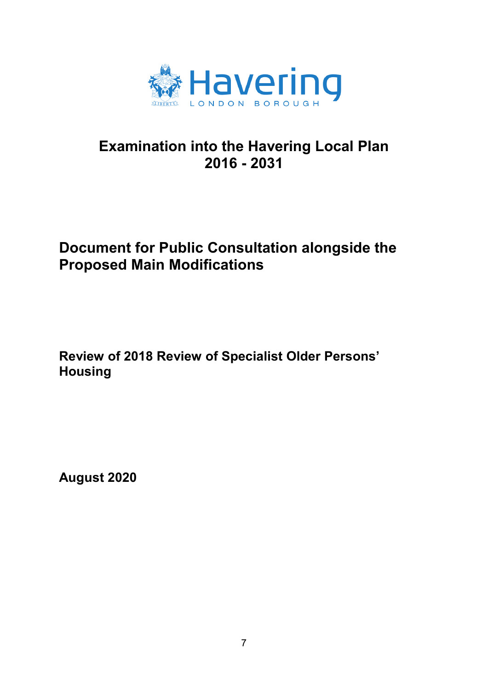

# **Examination into the Havering Local Plan 2016 - 2031**

## **Document for Public Consultation alongside the Proposed Main Modifications**

**Review of 2018 Review of Specialist Older Persons' Housing** 

**August 2020**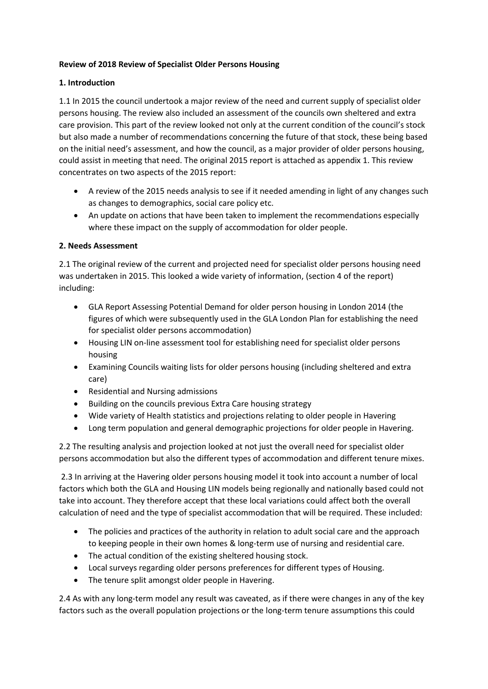#### **Review of 2018 Review of Specialist Older Persons Housing**

#### **1. Introduction**

 persons housing. The review also included an assessment of the councils own sheltered and extra on the initial need's assessment, and how the council, as a major provider of older persons housing, could assist in meeting that need. The original 2015 report is attached as appendix 1. This review 1.1 In 2015 the council undertook a major review of the need and current supply of specialist older care provision. This part of the review looked not only at the current condition of the council's stock but also made a number of recommendations concerning the future of that stock, these being based concentrates on two aspects of the 2015 report:

- A review of the 2015 needs analysis to see if it needed amending in light of any changes such as changes to demographics, social care policy etc.
- An update on actions that have been taken to implement the recommendations especially where these impact on the supply of accommodation for older people.

#### **2. Needs Assessment**

 2.1 The original review of the current and projected need for specialist older persons housing need was undertaken in 2015. This looked a wide variety of information, (section 4 of the report) including:

- GLA Report Assessing Potential Demand for older person housing in London 2014 (the figures of which were subsequently used in the GLA London Plan for establishing the need for specialist older persons accommodation)
- Housing LIN on-line assessment tool for establishing need for specialist older persons housing
- x Examining Councils waiting lists for older persons housing (including sheltered and extra care)
- Residential and Nursing admissions
- Building on the councils previous Extra Care housing strategy
- Wide variety of Health statistics and projections relating to older people in Havering
- Long term population and general demographic projections for older people in Havering.

2.2 The resulting analysis and projection looked at not just the overall need for specialist older persons accommodation but also the different types of accommodation and different tenure mixes.

 2.3 In arriving at the Havering older persons housing model it took into account a number of local factors which both the GLA and Housing LIN models being regionally and nationally based could not take into account. They therefore accept that these local variations could affect both the overall calculation of need and the type of specialist accommodation that will be required. These included:

- The policies and practices of the authority in relation to adult social care and the approach to keeping people in their own homes & long-term use of nursing and residential care.
- The actual condition of the existing sheltered housing stock.
- Local surveys regarding older persons preferences for different types of Housing.
- The tenure split amongst older people in Havering.

 2.4 As with any long-term model any result was caveated, as if there were changes in any of the key factors such as the overall population projections or the long-term tenure assumptions this could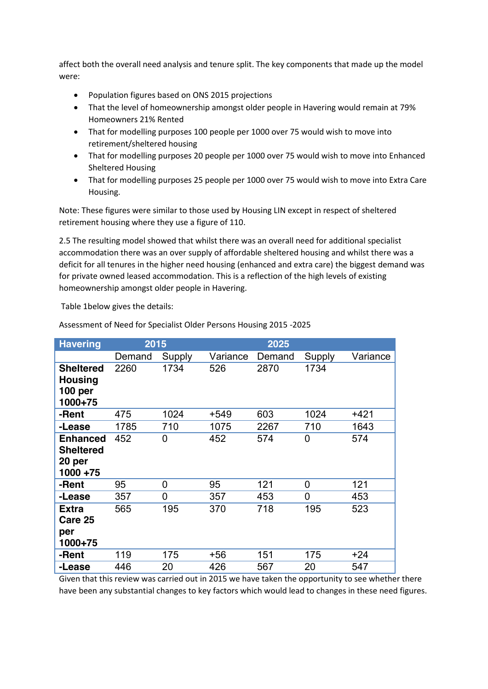affect both the overall need analysis and tenure split. The key components that made up the model were:

- Population figures based on ONS 2015 projections
- That the level of homeownership amongst older people in Havering would remain at 79% Homeowners 21% Rented
- That for modelling purposes 100 people per 1000 over 75 would wish to move into retirement/sheltered housing
- That for modelling purposes 20 people per 1000 over 75 would wish to move into Enhanced Sheltered Housing
- That for modelling purposes 25 people per 1000 over 75 would wish to move into Extra Care Housing.

Note: These figures were similar to those used by Housing LIN except in respect of sheltered retirement housing where they use a figure of 110.

 accommodation there was an over supply of affordable sheltered housing and whilst there was a 2.5 The resulting model showed that whilst there was an overall need for additional specialist deficit for all tenures in the higher need housing (enhanced and extra care) the biggest demand was for private owned leased accommodation. This is a reflection of the high levels of existing homeownership amongst older people in Havering.

Table 1below gives the details:

| <b>Havering</b>                                              | 2015   |        |          |        |        |          |
|--------------------------------------------------------------|--------|--------|----------|--------|--------|----------|
|                                                              | Demand | Supply | Variance | Demand | Supply | Variance |
| <b>Sheltered</b><br><b>Housing</b><br>100 per<br>1000+75     | 2260   | 1734   | 526      | 2870   | 1734   |          |
| -Rent                                                        | 475    | 1024   | $+549$   | 603    | 1024   | $+421$   |
| -Lease                                                       | 1785   | 710    | 1075     | 2267   | 710    | 1643     |
| <b>Enhanced</b><br><b>Sheltered</b><br>20 per<br>$1000 + 75$ | 452    | 0      | 452      | 574    | 0      | 574      |
| -Rent                                                        | 95     | 0      | 95       | 121    | 0      | 121      |
| -Lease                                                       | 357    | 0      | 357      | 453    | 0      | 453      |
| <b>Extra</b><br>Care 25<br>per<br>1000+75                    | 565    | 195    | 370      | 718    | 195    | 523      |
| -Rent                                                        | 119    | 175    | $+56$    | 151    | 175    | $+24$    |
| -Lease                                                       | 446    | 20     | 426      | 567    | 20     | 547      |

Assessment of Need for Specialist Older Persons Housing 2015 -2025

 Given that this review was carried out in 2015 we have taken the opportunity to see whether there have been any substantial changes to key factors which would lead to changes in these need figures.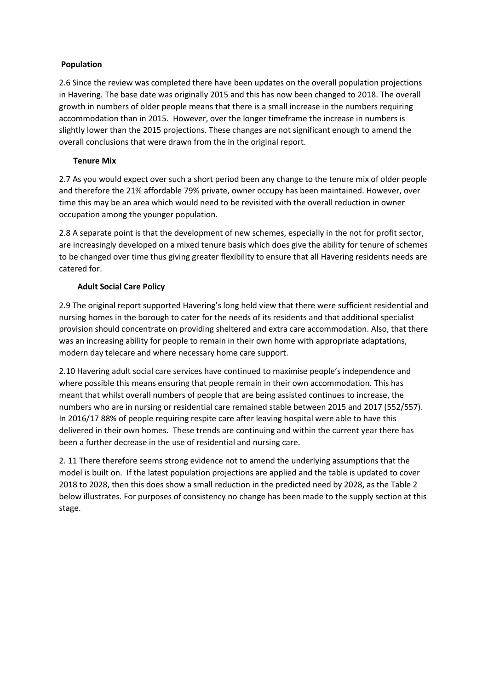#### **Population**

 in Havering. The base date was originally 2015 and this has now been changed to 2018. The overall accommodation than in 2015. However, over the longer timeframe the increase in numbers is 2.6 Since the review was completed there have been updates on the overall population projections growth in numbers of older people means that there is a small increase in the numbers requiring slightly lower than the 2015 projections. These changes are not significant enough to amend the overall conclusions that were drawn from the in the original report.

## **Tenure Mix**

 and therefore the 21% affordable 79% private, owner occupy has been maintained. However, over 2.7 As you would expect over such a short period been any change to the tenure mix of older people time this may be an area which would need to be revisited with the overall reduction in owner occupation among the younger population.

 to be changed over time thus giving greater flexibility to ensure that all Havering residents needs are 2.8 A separate point is that the development of new schemes, especially in the not for profit sector, are increasingly developed on a mixed tenure basis which does give the ability for tenure of schemes catered for.

## **Adult Social Care Policy**

 provision should concentrate on providing sheltered and extra care accommodation. Also, that there 2.9 The original report supported Havering's long held view that there were sufficient residential and nursing homes in the borough to cater for the needs of its residents and that additional specialist was an increasing ability for people to remain in their own home with appropriate adaptations, modern day telecare and where necessary home care support.

 meant that whilst overall numbers of people that are being assisted continues to increase, the numbers who are in nursing or residential care remained stable between 2015 and 2017 (552/557). In 2016/17 88% of people requiring respite care after leaving hospital were able to have this been a further decrease in the use of residential and nursing care. 2.10 Havering adult social care services have continued to maximise people's independence and where possible this means ensuring that people remain in their own accommodation. This has delivered in their own homes. These trends are continuing and within the current year there has

been a further decrease in the use of residential and nursing care.<br>2. 11 There therefore seems strong evidence not to amend the underlying assumptions that the model is built on. If the latest population projections are applied and the table is updated to cover 2018 to 2028, then this does show a small reduction in the predicted need by 2028, as the Table 2 below illustrates. For purposes of consistency no change has been made to the supply section at this stage.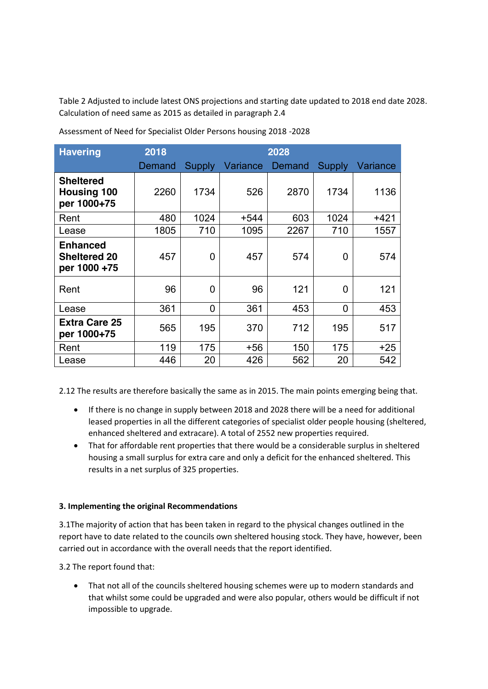Calculation of need same as 2015 as detailed in paragraph 2.4 Table 2 Adjusted to include latest ONS projections and starting date updated to 2018 end date 2028.

| <b>Havering</b>                                        | 2018   | 2028          |          |        |               |          |  |
|--------------------------------------------------------|--------|---------------|----------|--------|---------------|----------|--|
|                                                        | Demand | <b>Supply</b> | Variance | Demand | <b>Supply</b> | Variance |  |
| <b>Sheltered</b><br><b>Housing 100</b><br>per 1000+75  | 2260   | 1734          | 526      | 2870   | 1734          | 1136     |  |
| Rent                                                   | 480    | 1024          | $+544$   | 603    | 1024          | $+421$   |  |
| Lease                                                  | 1805   | 710           | 1095     | 2267   | 710           | 1557     |  |
| <b>Enhanced</b><br><b>Sheltered 20</b><br>per 1000 +75 | 457    | 0             | 457      | 574    | 0             | 574      |  |
| Rent                                                   | 96     | 0             | 96       | 121    | 0             | 121      |  |
| Lease                                                  | 361    | 0             | 361      | 453    | 0             | 453      |  |
| <b>Extra Care 25</b><br>per 1000+75                    | 565    | 195           | 370      | 712    | 195           | 517      |  |
| Rent                                                   | 119    | 175           | $+56$    | 150    | 175           | $+25$    |  |
| Lease                                                  | 446    | 20            | 426      | 562    | 20            | 542      |  |

Calculation of need same as 2015 as detailed in paragraph 2.4<br>Assessment of Need for Specialist Older Persons housing 2018 -2028

2.12 The results are therefore basically the same as in 2015. The main points emerging being that.

- If there is no change in supply between 2018 and 2028 there will be a need for additional leased properties in all the different categories of specialist older people housing (sheltered, enhanced sheltered and extracare). A total of 2552 new properties required.
- That for affordable rent properties that there would be a considerable surplus in sheltered housing a small surplus for extra care and only a deficit for the enhanced sheltered. This results in a net surplus of 325 properties.

#### **3. Implementing the original Recommendations**

 3.1The majority of action that has been taken in regard to the physical changes outlined in the report have to date related to the councils own sheltered housing stock. They have, however, been carried out in accordance with the overall needs that the report identified.

3.2 The report found that:

That not all of the councils sheltered housing schemes were up to modern standards and that whilst some could be upgraded and were also popular, others would be difficult if not impossible to upgrade.  $\bullet$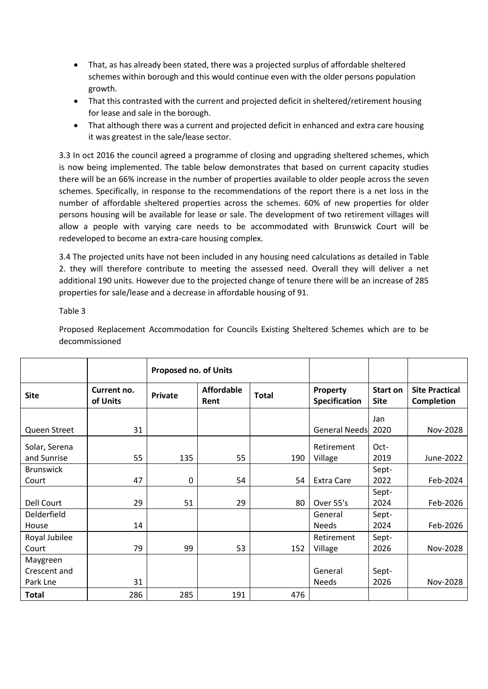- That, as has already been stated, there was a projected surplus of affordable sheltered schemes within borough and this would continue even with the older persons population growth.
- That this contrasted with the current and projected deficit in sheltered/retirement housing for lease and sale in the borough.
- That although there was a current and projected deficit in enhanced and extra care housing it was greatest in the sale/lease sector.

 3.3 In oct 2016 the council agreed a programme of closing and upgrading sheltered schemes, which is now being implemented. The table below demonstrates that based on current capacity studies there will be an 66% increase in the number of properties available to older people across the seven schemes. Specifically, in response to the recommendations of the report there is a net loss in the persons housing will be available for lease or sale. The development of two retirement villages will allow a people with varying care needs to be accommodated with Brunswick Court will be number of affordable sheltered properties across the schemes. 60% of new properties for older redeveloped to become an extra-care housing complex.

 3.4 The projected units have not been included in any housing need calculations as detailed in Table 2. they will therefore contribute to meeting the assessed need. Overall they will deliver a net additional 190 units. However due to the projected change of tenure there will be an increase of 285 properties for sale/lease and a decrease in affordable housing of 91.

Table 3

Table 3<br>Proposed Replacement Accommodation for Councils Existing Sheltered Schemes which are to be decommissioned

|                  |                         | <b>Proposed no. of Units</b> |                           |              |                                  |                                |                                            |
|------------------|-------------------------|------------------------------|---------------------------|--------------|----------------------------------|--------------------------------|--------------------------------------------|
| <b>Site</b>      | Current no.<br>of Units | <b>Private</b>               | <b>Affordable</b><br>Rent | <b>Total</b> | Property<br><b>Specification</b> | <b>Start on</b><br><b>Site</b> | <b>Site Practical</b><br><b>Completion</b> |
|                  |                         |                              |                           |              |                                  | Jan                            |                                            |
| Queen Street     | 31                      |                              |                           |              | <b>General Needs</b>             | 2020                           | Nov-2028                                   |
| Solar, Serena    |                         |                              |                           |              | Retirement                       | Oct-                           |                                            |
| and Sunrise      | 55                      | 135                          | 55                        | 190          | Village                          | 2019                           | June-2022                                  |
| <b>Brunswick</b> |                         |                              |                           |              |                                  | Sept-                          |                                            |
| Court            | 47                      | 0                            | 54                        | 54           | <b>Extra Care</b>                | 2022                           | Feb-2024                                   |
|                  |                         |                              |                           |              |                                  | Sept-                          |                                            |
| Dell Court       | 29                      | 51                           | 29                        | 80           | Over 55's                        | 2024                           | Feb-2026                                   |
| Delderfield      |                         |                              |                           |              | General                          | Sept-                          |                                            |
| House            | 14                      |                              |                           |              | <b>Needs</b>                     | 2024                           | Feb-2026                                   |
| Royal Jubilee    |                         |                              |                           |              | Retirement                       | Sept-                          |                                            |
| Court            | 79                      | 99                           | 53                        | 152          | Village                          | 2026                           | Nov-2028                                   |
| Maygreen         |                         |                              |                           |              |                                  |                                |                                            |
| Crescent and     |                         |                              |                           |              | General                          | Sept-                          |                                            |
| Park Lne         | 31                      |                              |                           |              | <b>Needs</b>                     | 2026                           | Nov-2028                                   |
| Total            | 286                     | 285                          | 191                       | 476          |                                  |                                |                                            |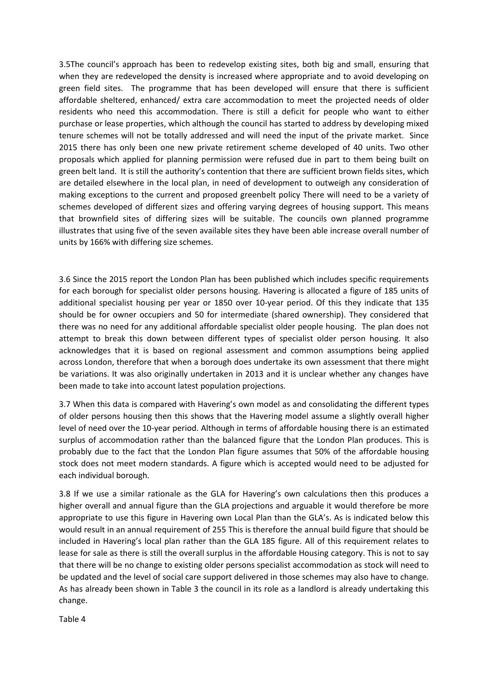3.5The council's approach has been to redevelop existing sites, both big and small, ensuring that when they are redeveloped the density is increased where appropriate and to avoid developing on green field sites. The programme that has been developed will ensure that there is sufficient affordable sheltered, enhanced/ extra care accommodation to meet the projected needs of older residents who need this accommodation. There is still a deficit for people who want to either purchase or lease properties, which although the council has started to address by developing mixed tenure schemes will not be totally addressed and will need the input of the private market. Since 2015 there has only been one new private retirement scheme developed of 40 units. Two other proposals which applied for planning permission were refused due in part to them being built on are detailed elsewhere in the local plan, in need of development to outweigh any consideration of making exceptions to the current and proposed greenbelt policy There will need to be a variety of schemes developed of different sizes and offering varying degrees of housing support. This means that brownfield sites of differing sizes will be suitable. The councils own planned programme illustrates that using five of the seven available sites they have been able increase overall number of units by 166% with differing size schemes. green belt land. It is still the authority's contention that there are sufficient brown fields sites, which

 3.6 Since the 2015 report the London Plan has been published which includes specific requirements for each borough for specialist older persons housing. Havering is allocated a figure of 185 units of should be for owner occupiers and 50 for intermediate (shared ownership). They considered that there was no need for any additional affordable specialist older people housing. The plan does not acknowledges that it is based on regional assessment and common assumptions being applied across London, therefore that when a borough does undertake its own assessment that there might be variations. It was also originally undertaken in 2013 and it is unclear whether any changes have been made to take into account latest population projections. additional specialist housing per year or 1850 over 10-year period. Of this they indicate that 135 attempt to break this down between different types of specialist older person housing. It also

been made to take into account latest population projections.<br>3.7 When this data is compared with Havering's own model as and consolidating the different types of older persons housing then this shows that the Havering model assume a slightly overall higher level of need over the 10-year period. Although in terms of affordable housing there is an estimated surplus of accommodation rather than the balanced figure that the London Plan produces. This is probably due to the fact that the London Plan figure assumes that 50% of the affordable housing stock does not meet modern standards. A figure which is accepted would need to be adjusted for each individual borough.

 higher overall and annual figure than the GLA projections and arguable it would therefore be more appropriate to use this figure in Havering own Local Plan than the GLA's. As is indicated below this would result in an annual requirement of 255 This is therefore the annual build figure that should be included in Havering's local plan rather than the GLA 185 figure. All of this requirement relates to lease for sale as there is still the overall surplus in the affordable Housing category. This is not to say that there will be no change to existing older persons specialist accommodation as stock will need to be updated and the level of social care support delivered in those schemes may also have to change. As has already been shown in Table 3 the council in its role as a landlord is already undertaking this 3.8 If we use a similar rationale as the GLA for Havering's own calculations then this produces a change.

Table 4